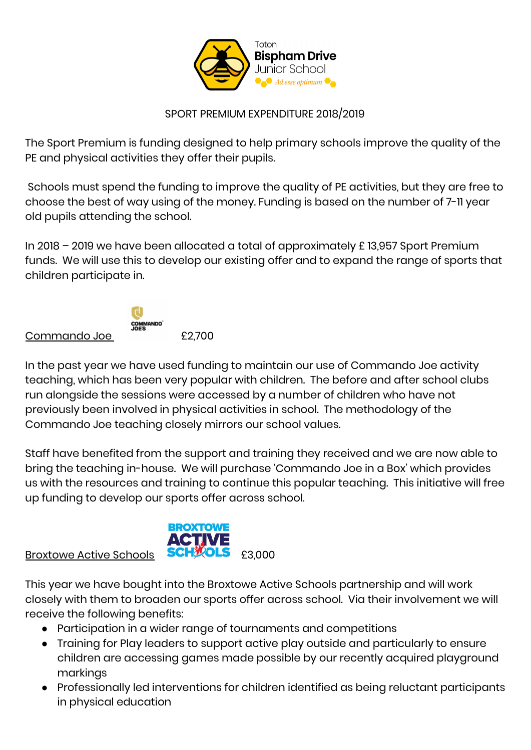

## SPORT PREMIUM EXPENDITURE 2018/2019

The Sport Premium is funding designed to help primary schools improve the quality of the PE and physical activities they offer their pupils.

Schools must spend the funding to improve the quality of PE activities, but they are free to choose the best of way using of the money. Funding is based on the number of 7-11 year old pupils attending the school.

In 2018 – 2019 we have been allocated a total of approximately £ 13,957 Sport Premium funds. We will use this to develop our existing offer and to expand the range of sports that children participate in.

## Commando Joe £2,700



In the past year we have used funding to maintain our use of Commando Joe activity teaching, which has been very popular with children. The before and after school clubs run alongside the sessions were accessed by a number of children who have not previously been involved in physical activities in school. The methodology of the Commando Joe teaching closely mirrors our school values.

Staff have benefited from the support and training they received and we are now able to bring the teaching in-house. We will purchase 'Commando Joe in a Box' which provides us with the resources and training to continue this popular teaching. This initiative will free up funding to develop our sports offer across school.

## Broxtowe Active Schools **SCHWOLS** £3,000

This year we have bought into the Broxtowe Active Schools partnership and will work closely with them to broaden our sports offer across school. Via their involvement we will receive the following benefits:

● Participation in a wider range of tournaments and competitions

**BROXTOWE** 

- Training for Play leaders to support active play outside and particularly to ensure children are accessing games made possible by our recently acquired playground markings
- Professionally led interventions for children identified as being reluctant participants in physical education